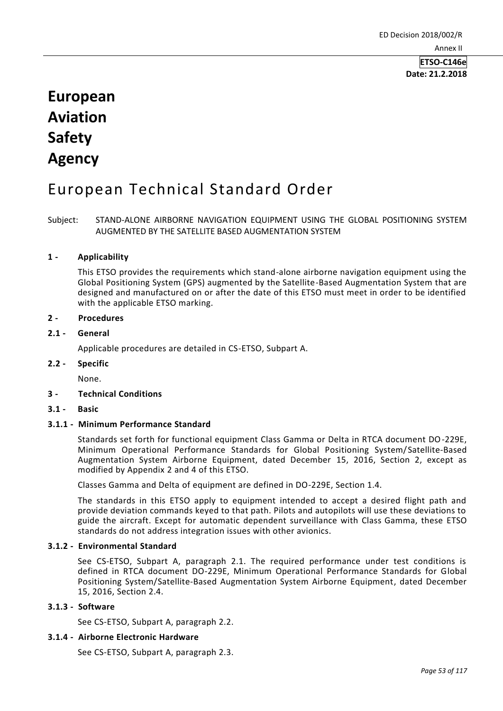# **European Aviation Safety Agency**

# European Technical Standard Order

Subject: STAND-ALONE AIRBORNE NAVIGATION EQUIPMENT USING THE GLOBAL POSITIONING SYSTEM AUGMENTED BY THE SATELLITE BASED AUGMENTATION SYSTEM

# **1 - Applicability**

This ETSO provides the requirements which stand-alone airborne navigation equipment using the Global Positioning System (GPS) augmented by the Satellite-Based Augmentation System that are designed and manufactured on or after the date of this ETSO must meet in order to be identified with the applicable ETSO marking.

# **2 - Procedures**

# **2.1 - General**

Applicable procedures are detailed in CS-ETSO, Subpart A.

# **2.2 - Specific**

None.

# **3 - Technical Conditions**

**3.1 - Basic**

# **3.1.1 - Minimum Performance Standard**

Standards set forth for functional equipment Class Gamma or Delta in RTCA document DO-229E, Minimum Operational Performance Standards for Global Positioning System/Satellite-Based Augmentation System Airborne Equipment, dated December 15, 2016, Section 2, except as modified by Appendix 2 and 4 of this ETSO.

Classes Gamma and Delta of equipment are defined in DO-229E, Section 1.4.

The standards in this ETSO apply to equipment intended to accept a desired flight path and provide deviation commands keyed to that path. Pilots and autopilots will use these deviations to guide the aircraft. Except for automatic dependent surveillance with Class Gamma, these ETSO standards do not address integration issues with other avionics.

# **3.1.2 - Environmental Standard**

See CS-ETSO, Subpart A, paragraph 2.1. The required performance under test conditions is defined in RTCA document DO-229E, Minimum Operational Performance Standards for Global Positioning System/Satellite-Based Augmentation System Airborne Equipment, dated December 15, 2016, Section 2.4.

# **3.1.3 - Software**

See CS-ETSO, Subpart A, paragraph 2.2.

# **3.1.4 - Airborne Electronic Hardware**

See CS-ETSO, Subpart A, paragraph 2.3.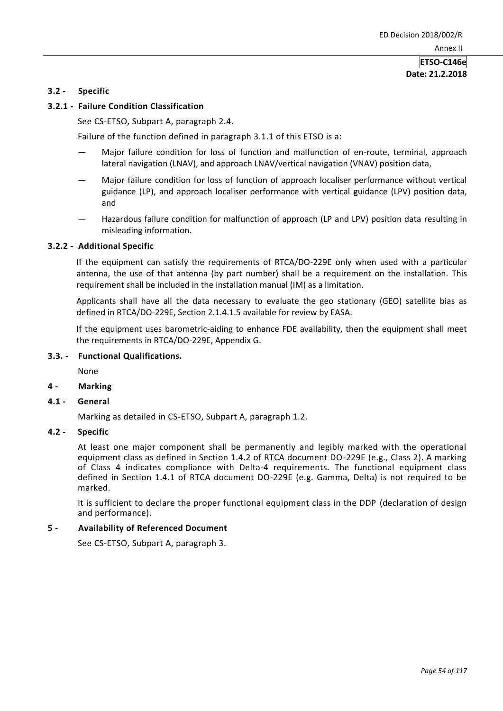## **3.2 - Specific**

# **3.2.1 - Failure Condition Classification**

See CS-ETSO, Subpart A, paragraph 2.4.

Failure of the function defined in paragraph 3.1.1 of this ETSO is a:

- Major failure condition for loss of function and malfunction of en-route, terminal, approach lateral navigation (LNAV), and approach LNAV/vertical navigation (VNAV) position data,
- Major failure condition for loss of function of approach localiser performance without vertical guidance (LP), and approach localiser performance with vertical guidance (LPV) position data, and
- Hazardous failure condition for malfunction of approach (LP and LPV) position data resulting in misleading information.

#### **3.2.2 - Additional Specific**

If the equipment can satisfy the requirements of RTCA/DO-229E only when used with a particular antenna, the use of that antenna (by part number) shall be a requirement on the installation. This requirement shall be included in the installation manual (IM) as a limitation.

Applicants shall have all the data necessary to evaluate the geo stationary (GEO) satellite bias as defined in RTCA/DO-229E, Section 2.1.4.1.5 available for review by EASA.

If the equipment uses barometric-aiding to enhance FDE availability, then the equipment shall meet the requirements in RTCA/DO-229E, Appendix G.

# **3.3. - Functional Qualifications.**

None

**4 - Marking**

#### **4.1 - General**

Marking as detailed in CS-ETSO, Subpart A, paragraph 1.2.

# **4.2 - Specific**

At least one major component shall be permanently and legibly marked with the operational equipment class as defined in Section 1.4.2 of RTCA document DO-229E (e.g., Class 2). A marking of Class 4 indicates compliance with Delta-4 requirements. The functional equipment class defined in Section 1.4.1 of RTCA document DO-229E (e.g. Gamma, Delta) is not required to be marked.

It is sufficient to declare the proper functional equipment class in the DDP (declaration of design and performance).

# **5 - Availability of Referenced Document**

See CS-ETSO, Subpart A, paragraph 3.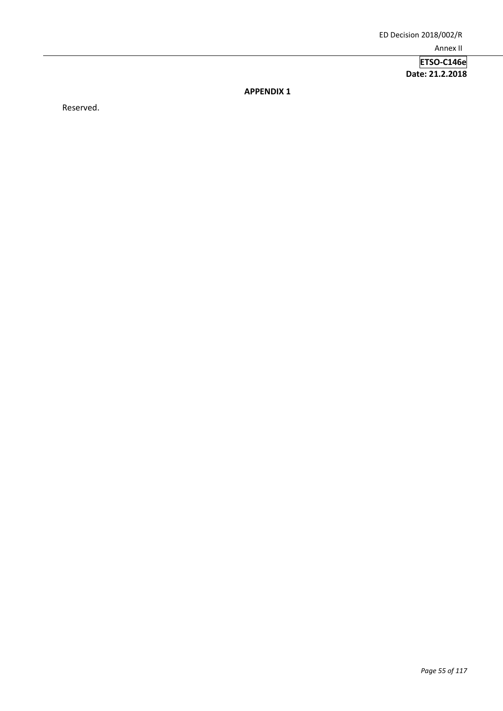**APPENDIX 1**

Reserved.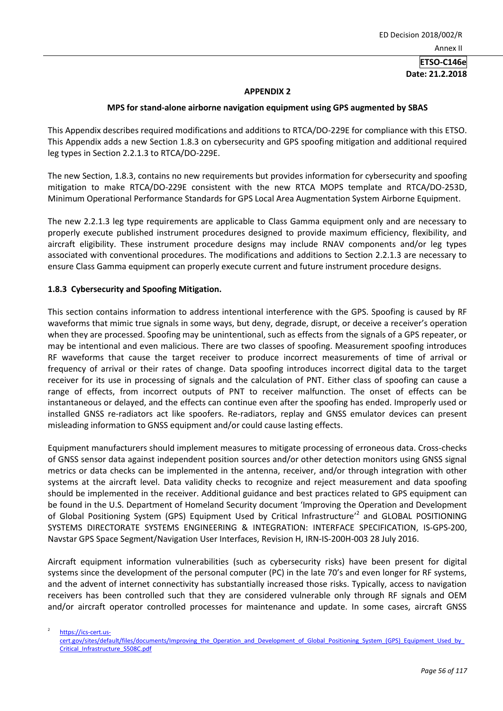#### **APPENDIX 2**

#### **MPS for stand-alone airborne navigation equipment using GPS augmented by SBAS**

This Appendix describes required modifications and additions to RTCA/DO-229E for compliance with this ETSO. This Appendix adds a new Section 1.8.3 on cybersecurity and GPS spoofing mitigation and additional required leg types in Section 2.2.1.3 to RTCA/DO-229E.

The new Section, 1.8.3, contains no new requirements but provides information for cybersecurity and spoofing mitigation to make RTCA/DO-229E consistent with the new RTCA MOPS template and RTCA/DO-253D, Minimum Operational Performance Standards for GPS Local Area Augmentation System Airborne Equipment.

The new 2.2.1.3 leg type requirements are applicable to Class Gamma equipment only and are necessary to properly execute published instrument procedures designed to provide maximum efficiency, flexibility, and aircraft eligibility. These instrument procedure designs may include RNAV components and/or leg types associated with conventional procedures. The modifications and additions to Section 2.2.1.3 are necessary to ensure Class Gamma equipment can properly execute current and future instrument procedure designs.

# **1.8.3 Cybersecurity and Spoofing Mitigation.**

This section contains information to address intentional interference with the GPS. Spoofing is caused by RF waveforms that mimic true signals in some ways, but deny, degrade, disrupt, or deceive a receiver's operation when they are processed. Spoofing may be unintentional, such as effects from the signals of a GPS repeater, or may be intentional and even malicious. There are two classes of spoofing. Measurement spoofing introduces RF waveforms that cause the target receiver to produce incorrect measurements of time of arrival or frequency of arrival or their rates of change. Data spoofing introduces incorrect digital data to the target receiver for its use in processing of signals and the calculation of PNT. Either class of spoofing can cause a range of effects, from incorrect outputs of PNT to receiver malfunction. The onset of effects can be instantaneous or delayed, and the effects can continue even after the spoofing has ended. Improperly used or installed GNSS re-radiators act like spoofers. Re-radiators, replay and GNSS emulator devices can present misleading information to GNSS equipment and/or could cause lasting effects.

Equipment manufacturers should implement measures to mitigate processing of erroneous data. Cross-checks of GNSS sensor data against independent position sources and/or other detection monitors using GNSS signal metrics or data checks can be implemented in the antenna, receiver, and/or through integration with other systems at the aircraft level. Data validity checks to recognize and reject measurement and data spoofing should be implemented in the receiver. Additional guidance and best practices related to GPS equipment can be found in the U.S. Department of Homeland Security document 'Improving the Operation and Development of Global Positioning System (GPS) Equipment Used by Critical Infrastructure<sup>22</sup> and GLOBAL POSITIONING SYSTEMS DIRECTORATE SYSTEMS ENGINEERING & INTEGRATION: INTERFACE SPECIFICATION, IS-GPS-200, Navstar GPS Space Segment/Navigation User Interfaces, Revision H, IRN-IS-200H-003 28 July 2016.

Aircraft equipment information vulnerabilities (such as cybersecurity risks) have been present for digital systems since the development of the personal computer (PC) in the late 70's and even longer for RF systems, and the advent of internet connectivity has substantially increased those risks. Typically, access to navigation receivers has been controlled such that they are considered vulnerable only through RF signals and OEM and/or aircraft operator controlled processes for maintenance and update. In some cases, aircraft GNSS

2 [https://ics-cert.us-](https://ics-cert.us-cert.gov/sites/default/files/documents/Improving_the_Operation_and_Development_of_Global_Positioning_System_(GPS)_Equipment_Used_by_Critical_Infrastructure_S508C.pdf)

cert.gov/sites/default/files/documents/Improving\_the\_Operation\_and\_Development\_of\_Global\_Positioning\_System\_(GPS)\_Equipment\_Used\_by [Critical\\_Infrastructure\\_S508C.pdf](https://ics-cert.us-cert.gov/sites/default/files/documents/Improving_the_Operation_and_Development_of_Global_Positioning_System_(GPS)_Equipment_Used_by_Critical_Infrastructure_S508C.pdf)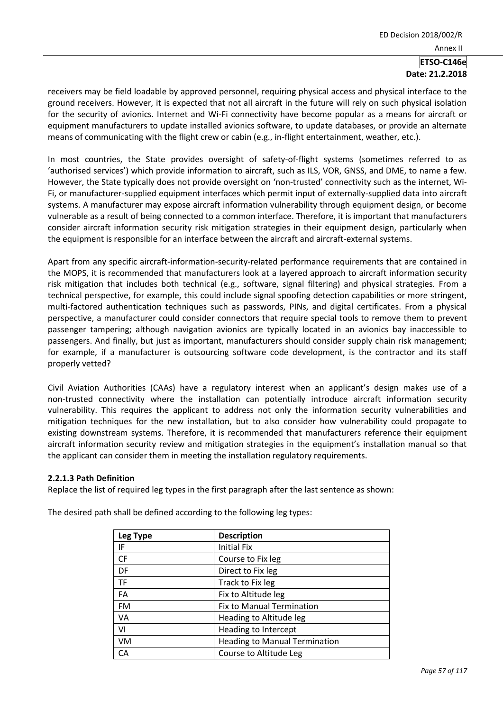receivers may be field loadable by approved personnel, requiring physical access and physical interface to the ground receivers. However, it is expected that not all aircraft in the future will rely on such physical isolation for the security of avionics. Internet and Wi-Fi connectivity have become popular as a means for aircraft or equipment manufacturers to update installed avionics software, to update databases, or provide an alternate means of communicating with the flight crew or cabin (e.g., in-flight entertainment, weather, etc.).

In most countries, the State provides oversight of safety-of-flight systems (sometimes referred to as 'authorised services') which provide information to aircraft, such as ILS, VOR, GNSS, and DME, to name a few. However, the State typically does not provide oversight on 'non-trusted' connectivity such as the internet, Wi-Fi, or manufacturer-supplied equipment interfaces which permit input of externally-supplied data into aircraft systems. A manufacturer may expose aircraft information vulnerability through equipment design, or become vulnerable as a result of being connected to a common interface. Therefore, it is important that manufacturers consider aircraft information security risk mitigation strategies in their equipment design, particularly when the equipment is responsible for an interface between the aircraft and aircraft-external systems.

Apart from any specific aircraft-information-security-related performance requirements that are contained in the MOPS, it is recommended that manufacturers look at a layered approach to aircraft information security risk mitigation that includes both technical (e.g., software, signal filtering) and physical strategies. From a technical perspective, for example, this could include signal spoofing detection capabilities or more stringent, multi-factored authentication techniques such as passwords, PINs, and digital certificates. From a physical perspective, a manufacturer could consider connectors that require special tools to remove them to prevent passenger tampering; although navigation avionics are typically located in an avionics bay inaccessible to passengers. And finally, but just as important, manufacturers should consider supply chain risk management; for example, if a manufacturer is outsourcing software code development, is the contractor and its staff properly vetted?

Civil Aviation Authorities (CAAs) have a regulatory interest when an applicant's design makes use of a non-trusted connectivity where the installation can potentially introduce aircraft information security vulnerability. This requires the applicant to address not only the information security vulnerabilities and mitigation techniques for the new installation, but to also consider how vulnerability could propagate to existing downstream systems. Therefore, it is recommended that manufacturers reference their equipment aircraft information security review and mitigation strategies in the equipment's installation manual so that the applicant can consider them in meeting the installation regulatory requirements.

# **2.2.1.3 Path Definition**

Replace the list of required leg types in the first paragraph after the last sentence as shown:

| Leg Type  | <b>Description</b>                   |
|-----------|--------------------------------------|
| IF        | <b>Initial Fix</b>                   |
| CF        | Course to Fix leg                    |
| DF        | Direct to Fix leg                    |
| <b>TF</b> | Track to Fix leg                     |
| FA        | Fix to Altitude leg                  |
| <b>FM</b> | <b>Fix to Manual Termination</b>     |
| VA        | Heading to Altitude leg              |
| VI        | Heading to Intercept                 |
| VM        | <b>Heading to Manual Termination</b> |
| CА        | Course to Altitude Leg               |

The desired path shall be defined according to the following leg types: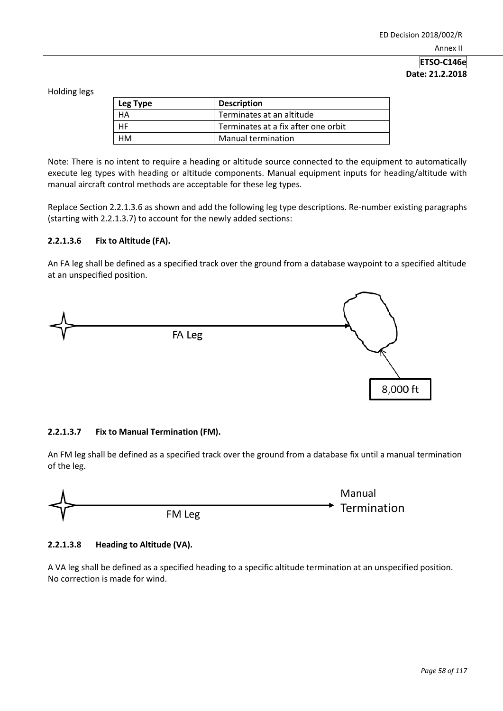Holding legs

| Leg Type | <b>Description</b>                  |
|----------|-------------------------------------|
| HA       | Terminates at an altitude           |
| HF.      | Terminates at a fix after one orbit |
| нм       | <b>Manual termination</b>           |

Note: There is no intent to require a heading or altitude source connected to the equipment to automatically execute leg types with heading or altitude components. Manual equipment inputs for heading/altitude with manual aircraft control methods are acceptable for these leg types.

Replace Section 2.2.1.3.6 as shown and add the following leg type descriptions. Re-number existing paragraphs (starting with 2.2.1.3.7) to account for the newly added sections:

# **2.2.1.3.6 Fix to Altitude (FA).**

An FA leg shall be defined as a specified track over the ground from a database waypoint to a specified altitude at an unspecified position.



# **2.2.1.3.7 Fix to Manual Termination (FM).**

An FM leg shall be defined as a specified track over the ground from a database fix until a manual termination of the leg.



# **2.2.1.3.8 Heading to Altitude (VA).**

A VA leg shall be defined as a specified heading to a specific altitude termination at an unspecified position. No correction is made for wind.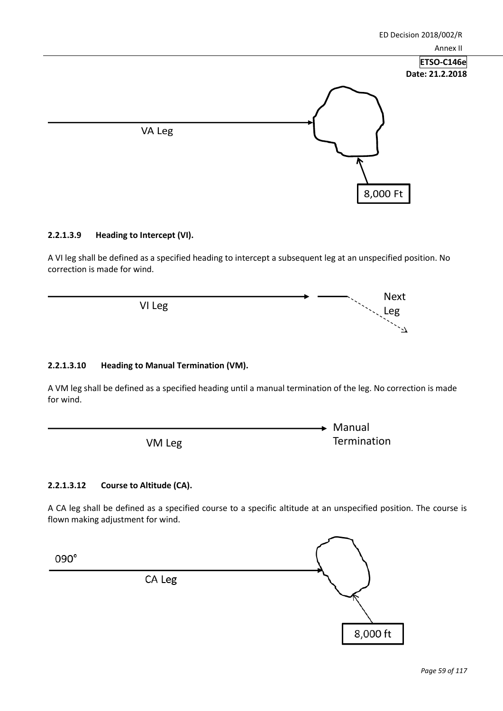

## **2.2.1.3.9 Heading to Intercept (VI).**

A VI leg shall be defined as a specified heading to intercept a subsequent leg at an unspecified position. No correction is made for wind.

VI Leg

# **2.2.1.3.10 Heading to Manual Termination (VM).**

A VM leg shall be defined as a specified heading until a manual termination of the leg. No correction is made for wind.

VM Leg

# **2.2.1.3.12 Course to Altitude (CA).**

A CA leg shall be defined as a specified course to a specific altitude at an unspecified position. The course is flown making adjustment for wind.



Next Leg

 $\geq$ 

Manual

**Termination**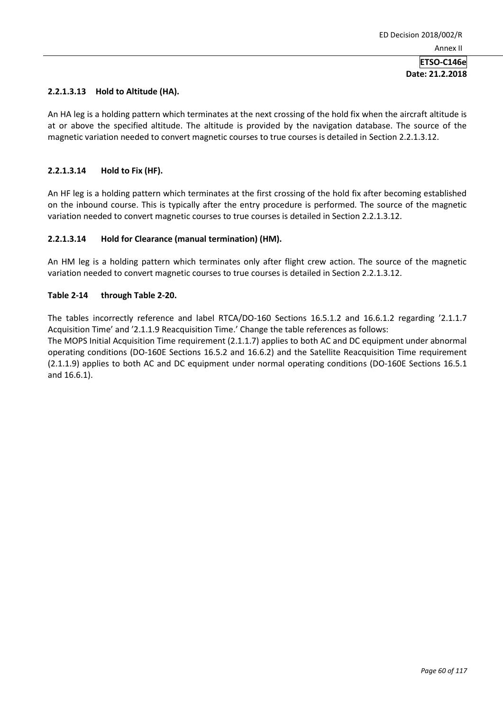# **2.2.1.3.13 Hold to Altitude (HA).**

An HA leg is a holding pattern which terminates at the next crossing of the hold fix when the aircraft altitude is at or above the specified altitude. The altitude is provided by the navigation database. The source of the magnetic variation needed to convert magnetic courses to true courses is detailed in Section 2.2.1.3.12.

# **2.2.1.3.14 Hold to Fix (HF).**

An HF leg is a holding pattern which terminates at the first crossing of the hold fix after becoming established on the inbound course. This is typically after the entry procedure is performed. The source of the magnetic variation needed to convert magnetic courses to true courses is detailed in Section 2.2.1.3.12.

# **2.2.1.3.14 Hold for Clearance (manual termination) (HM).**

An HM leg is a holding pattern which terminates only after flight crew action. The source of the magnetic variation needed to convert magnetic courses to true courses is detailed in Section 2.2.1.3.12.

# **Table 2-14 through Table 2-20.**

The tables incorrectly reference and label RTCA/DO-160 Sections 16.5.1.2 and 16.6.1.2 regarding '2.1.1.7 Acquisition Time' and '2.1.1.9 Reacquisition Time.' Change the table references as follows:

The MOPS Initial Acquisition Time requirement (2.1.1.7) applies to both AC and DC equipment under abnormal operating conditions (DO-160E Sections 16.5.2 and 16.6.2) and the Satellite Reacquisition Time requirement (2.1.1.9) applies to both AC and DC equipment under normal operating conditions (DO-160E Sections 16.5.1 and 16.6.1).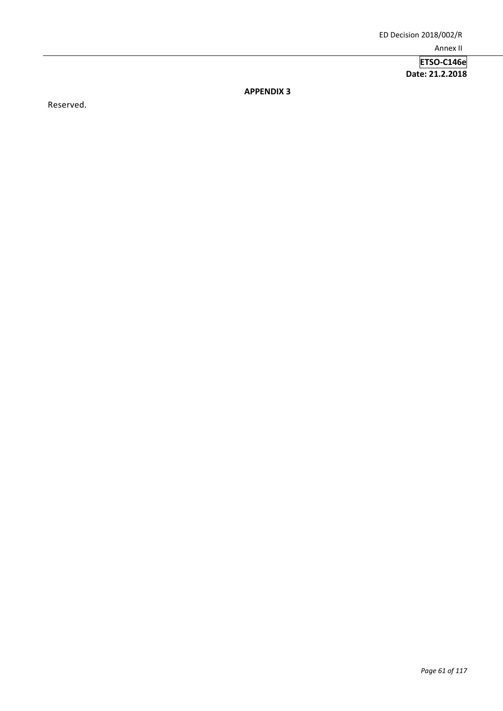**APPENDIX 3**

Reserved.